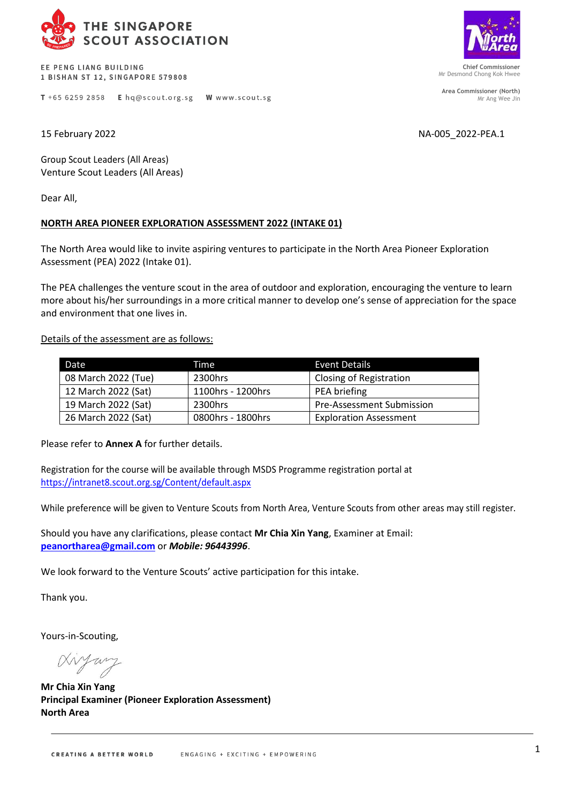

EE PENG LIANG BUILDING 1 BISHAN ST 12, SINGAPORE 579808

T +65 6259 2858 E hq@scout.org.sg W www.scout.sg

**Chief Commissioner** Mr Desmond Chong Kok Hwee

**Area Commissioner (North)** Mr Ang Wee Jin

15 February 2022 NA-005\_2022-PEA.1

Group Scout Leaders (All Areas) Venture Scout Leaders (All Areas)

Dear All,

## **NORTH AREA PIONEER EXPLORATION ASSESSMENT 2022 (INTAKE 01)**

The North Area would like to invite aspiring ventures to participate in the North Area Pioneer Exploration Assessment (PEA) 2022 (Intake 01).

The PEA challenges the venture scout in the area of outdoor and exploration, encouraging the venture to learn more about his/her surroundings in a more critical manner to develop one's sense of appreciation for the space and environment that one lives in.

Details of the assessment are as follows:

| Date                | Time              | <b>Event Details</b>             |  |
|---------------------|-------------------|----------------------------------|--|
| 08 March 2022 (Tue) | 2300hrs           | <b>Closing of Registration</b>   |  |
| 12 March 2022 (Sat) | 1100hrs - 1200hrs | PEA briefing                     |  |
| 19 March 2022 (Sat) | 2300hrs           | <b>Pre-Assessment Submission</b> |  |
| 26 March 2022 (Sat) | 0800hrs - 1800hrs | <b>Exploration Assessment</b>    |  |

Please refer to **Annex A** for further details.

Registration for the course will be available through MSDS Programme registration portal at <https://intranet8.scout.org.sg/Content/default.aspx>

While preference will be given to Venture Scouts from North Area, Venture Scouts from other areas may still register.

Should you have any clarifications, please contact **Mr Chia Xin Yang**, Examiner at Email: **[peanortharea@gmail.com](mailto:peanortharea@gmail.com)** or *Mobile: 96443996*.

We look forward to the Venture Scouts' active participation for this intake.

Thank you.

Yours-in-Scouting,

Aryany

**Mr Chia Xin Yang Principal Examiner (Pioneer Exploration Assessment) North Area**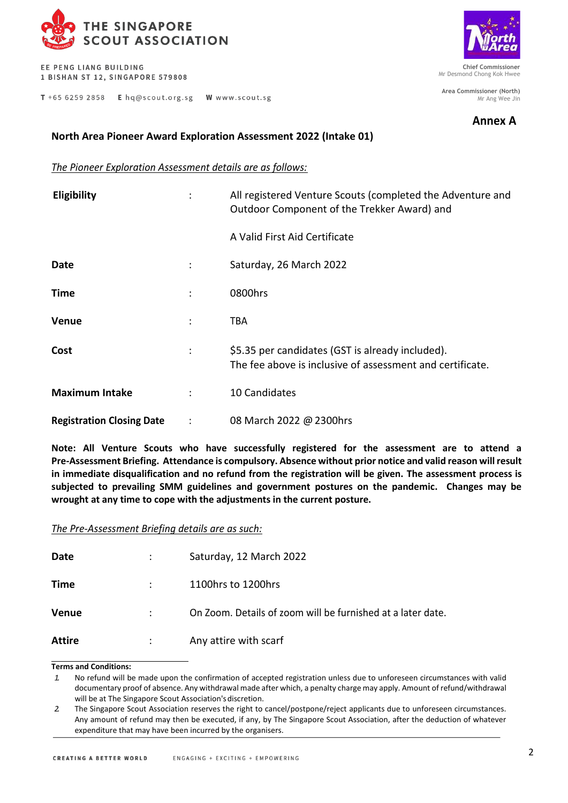

EE PENG LIANG BUILDING 1 BISHAN ST 12, SINGAPORE 579808

T +65 6259 2858 E hq@scout.org.sg W www.scout.sg



**Chief Commissioner** Mr Desmond Chong Kok Hwee

**Area Commissioner (North)** Mr Ang Wee Jin

**Annex A**

## **North Area Pioneer Award Exploration Assessment 2022 (Intake 01)**

## *The Pioneer Exploration Assessment details are as follows:*

| <b>Eligibility</b>               |                | All registered Venture Scouts (completed the Adventure and<br>Outdoor Component of the Trekker Award) and     |  |
|----------------------------------|----------------|---------------------------------------------------------------------------------------------------------------|--|
|                                  |                | A Valid First Aid Certificate                                                                                 |  |
| Date                             | ÷              | Saturday, 26 March 2022                                                                                       |  |
| Time                             | $\ddot{\cdot}$ | 0800hrs                                                                                                       |  |
| <b>Venue</b>                     | $\ddot{\cdot}$ | TBA                                                                                                           |  |
| Cost                             | $\ddot{\cdot}$ | \$5.35 per candidates (GST is already included).<br>The fee above is inclusive of assessment and certificate. |  |
| <b>Maximum Intake</b>            | $\ddot{\cdot}$ | 10 Candidates                                                                                                 |  |
| <b>Registration Closing Date</b> | $\ddot{\cdot}$ | 08 March 2022 @ 2300hrs                                                                                       |  |

**Note: All Venture Scouts who have successfully registered for the assessment are to attend a Pre-Assessment Briefing. Attendance is compulsory. Absence without prior notice and valid reason will result in immediate disqualification and no refund from the registration will be given. The assessment process is subjected to prevailing SMM guidelines and government postures on the pandemic. Changes may be wrought at any time to cope with the adjustments in the current posture.**

*The Pre-Assessment Briefing details are as such:*

| Date   | Saturday, 12 March 2022                                     |
|--------|-------------------------------------------------------------|
| Time   | 1100hrs to 1200hrs                                          |
| Venue  | On Zoom. Details of zoom will be furnished at a later date. |
| Attire | Any attire with scarf                                       |

## **Terms and Conditions:**

*<sup>1.</sup>* No refund will be made upon the confirmation of accepted registration unless due to unforeseen circumstances with valid documentary proof of absence. Any withdrawal made after which, a penalty charge may apply. Amount of refund/withdrawal will be at The Singapore Scout Association's discretion.

*<sup>2.</sup>* The Singapore Scout Association reserves the right to cancel/postpone/reject applicants due to unforeseen circumstances. Any amount of refund may then be executed, if any, by The Singapore Scout Association, after the deduction of whatever expenditure that may have been incurred by the organisers.